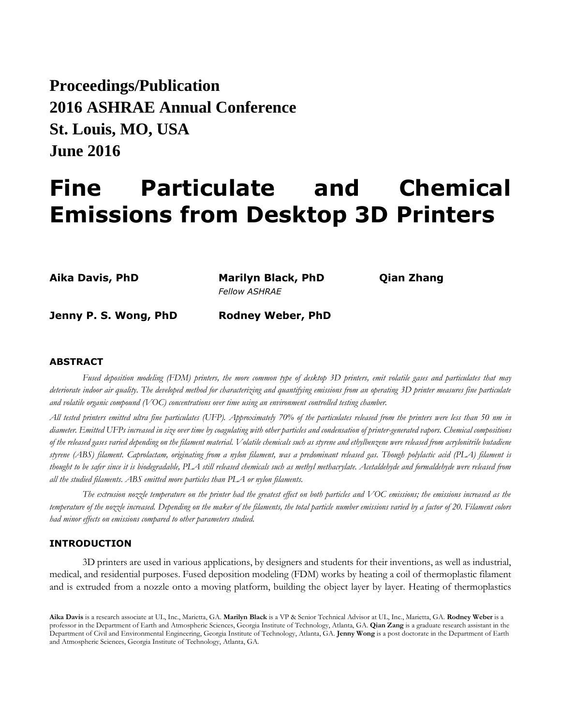**Proceedings/Publication 2016 ASHRAE Annual Conference St. Louis, MO, USA June 2016**

# **Fine Particulate and Chemical Emissions from Desktop 3D Printers**

**Aika Davis, PhD Marilyn Black, PhD Qian Zhang** *Fellow ASHRAE*

**Jenny P. S. Wong, PhD Rodney Weber, PhD**

### **ABSTRACT**

*Fused deposition modeling (FDM) printers, the more common type of desktop 3D printers, emit volatile gases and particulates that may deteriorate indoor air quality. The developed method for characterizing and quantifying emissions from an operating 3D printer measures fine particulate and volatile organic compound (VOC) concentrations over time using an environment controlled testing chamber.*

*All tested printers emitted ultra fine particulates (UFP). Approximately 70% of the particulates released from the printers were less than 50 nm in diameter. Emitted UFPs increased in size over time by coagulating with other particles and condensation of printer-generated vapors. Chemical compositions of the released gases varied depending on the filament material. Volatile chemicals such as styrene and ethylbenzene were released from acrylonitrile butadiene styrene (ABS) filament. Caprolactam, originating from a nylon filament, was a predominant released gas. Though polylactic acid (PLA) filament is thought to be safer since it is biodegradable, PLA still released chemicals such as methyl methacrylate. Acetaldehyde and formaldehyde were released from all the studied filaments. ABS emitted more particles than PLA or nylon filaments.* 

*The extrusion nozzle temperature on the printer had the greatest effect on both particles and VOC emissions; the emissions increased as the temperature of the nozzle increased. Depending on the maker of the filaments, the total particle number emissions varied by a factor of 20. Filament colors had minor effects on emissions compared to other parameters studied.* 

# **INTRODUCTION**

3D printers are used in various applications, by designers and students for their inventions, as well as industrial, medical, and residential purposes. Fused deposition modeling (FDM) works by heating a coil of thermoplastic filament and is extruded from a nozzle onto a moving platform, building the object layer by layer. Heating of thermoplastics

**Aika Davis** is a research associate at UL, Inc., Marietta, GA. **Marilyn Black** is a VP & Senior Technical Advisor at UL, Inc., Marietta, GA. **Rodney Weber** is a professor in the Department of Earth and Atmospheric Sciences, Georgia Institute of Technology, Atlanta, GA. **Qian Zang** is a graduate research assistant in the Department of Civil and Environmental Engineering, Georgia Institute of Technology, Atlanta, GA. **Jenny Wong** is a post doctorate in the Department of Earth and Atmospheric Sciences, Georgia Institute of Technology, Atlanta, GA.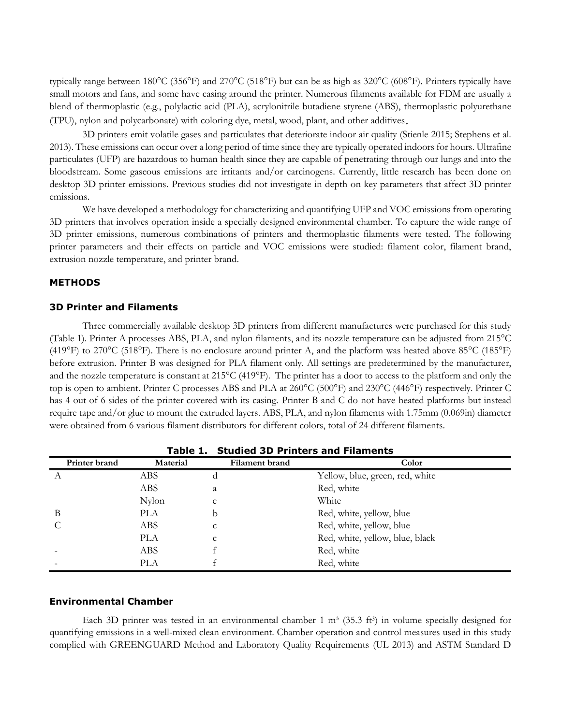typically range between 180°C (356°F) and 270°C (518°F) but can be as high as 320°C (608°F). Printers typically have small motors and fans, and some have casing around the printer. Numerous filaments available for FDM are usually a blend of thermoplastic (e.g., polylactic acid (PLA), acrylonitrile butadiene styrene (ABS), thermoplastic polyurethane (TPU), nylon and polycarbonate) with coloring dye, metal, wood, plant, and other additives.

3D printers emit volatile gases and particulates that deteriorate indoor air quality (Stienle 2015; Stephens et al. 2013). These emissions can occur over a long period of time since they are typically operated indoors for hours. Ultrafine particulates (UFP) are hazardous to human health since they are capable of penetrating through our lungs and into the bloodstream. Some gaseous emissions are irritants and/or carcinogens. Currently, little research has been done on desktop 3D printer emissions. Previous studies did not investigate in depth on key parameters that affect 3D printer emissions.

We have developed a methodology for characterizing and quantifying UFP and VOC emissions from operating 3D printers that involves operation inside a specially designed environmental chamber. To capture the wide range of 3D printer emissions, numerous combinations of printers and thermoplastic filaments were tested. The following printer parameters and their effects on particle and VOC emissions were studied: filament color, filament brand, extrusion nozzle temperature, and printer brand.

# **METHODS**

# **3D Printer and Filaments**

Three commercially available desktop 3D printers from different manufactures were purchased for this study (Table 1). Printer A processes ABS, PLA, and nylon filaments, and its nozzle temperature can be adjusted from 215°C (419°F) to 270°C (518°F). There is no enclosure around printer A, and the platform was heated above 85°C (185°F) before extrusion. Printer B was designed for PLA filament only. All settings are predetermined by the manufacturer, and the nozzle temperature is constant at 215°C (419°F). The printer has a door to access to the platform and only the top is open to ambient. Printer C processes ABS and PLA at 260°C (500°F) and 230°C (446°F) respectively. Printer C has 4 out of 6 sides of the printer covered with its casing. Printer B and C do not have heated platforms but instead require tape and/or glue to mount the extruded layers. ABS, PLA, and nylon filaments with 1.75mm (0.069in) diameter were obtained from 6 various filament distributors for different colors, total of 24 different filaments.

| <b>Studied 3D Printers and Filaments</b><br>Table 1. |            |                       |                                 |  |  |  |  |  |
|------------------------------------------------------|------------|-----------------------|---------------------------------|--|--|--|--|--|
| Printer brand                                        | Material   | <b>Filament brand</b> | Color                           |  |  |  |  |  |
|                                                      | ABS        | d                     | Yellow, blue, green, red, white |  |  |  |  |  |
|                                                      | ABS        | а                     | Red, white                      |  |  |  |  |  |
|                                                      | Nylon      | e                     | White                           |  |  |  |  |  |
| B                                                    | <b>PLA</b> | b                     | Red, white, yellow, blue        |  |  |  |  |  |
| C                                                    | ABS        | C                     | Red, white, yellow, blue        |  |  |  |  |  |
|                                                      | <b>PLA</b> | C                     | Red, white, yellow, blue, black |  |  |  |  |  |
|                                                      | ABS        |                       | Red, white                      |  |  |  |  |  |
|                                                      | PLA        |                       | Red, white                      |  |  |  |  |  |

#### **Environmental Chamber**

Each 3D printer was tested in an environmental chamber 1  $m<sup>3</sup>$  (35.3 ft<sup>3</sup>) in volume specially designed for quantifying emissions in a well-mixed clean environment. Chamber operation and control measures used in this study complied with GREENGUARD Method and Laboratory Quality Requirements (UL 2013) and ASTM Standard D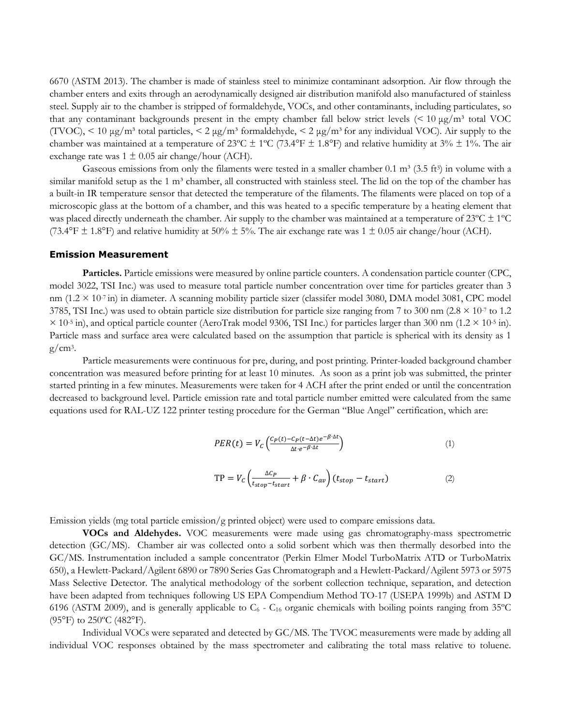6670 (ASTM 2013). The chamber is made of stainless steel to minimize contaminant adsorption. Air flow through the chamber enters and exits through an aerodynamically designed air distribution manifold also manufactured of stainless steel. Supply air to the chamber is stripped of formaldehyde, VOCs, and other contaminants, including particulates, so that any contaminant backgrounds present in the empty chamber fall below strict levels  $\leq 10 \,\mu g/m^3$  total VOC (TVOC),  $\leq 10 \mu g/m^3$  total particles,  $\leq 2 \mu g/m^3$  formaldehyde,  $\leq 2 \mu g/m^3$  for any individual VOC). Air supply to the chamber was maintained at a temperature of  $23^{\circ}C \pm 1^{\circ}C$  (73.4°F  $\pm$  1.8°F) and relative humidity at 3%  $\pm$  1%. The air exchange rate was  $1 \pm 0.05$  air change/hour (ACH).

Gaseous emissions from only the filaments were tested in a smaller chamber 0.1 m<sup>3</sup> (3.5 ft<sup>3</sup>) in volume with a similar manifold setup as the  $1 \text{ m}^3$  chamber, all constructed with stainless steel. The lid on the top of the chamber has a built-in IR temperature sensor that detected the temperature of the filaments. The filaments were placed on top of a microscopic glass at the bottom of a chamber, and this was heated to a specific temperature by a heating element that was placed directly underneath the chamber. Air supply to the chamber was maintained at a temperature of  $23^{\circ}C \pm 1^{\circ}C$ (73.4°F  $\pm$  1.8°F) and relative humidity at 50%  $\pm$  5%. The air exchange rate was 1  $\pm$  0.05 air change/hour (ACH).

#### **Emission Measurement**

**Particles.** Particle emissions were measured by online particle counters. A condensation particle counter (CPC, model 3022, TSI Inc.) was used to measure total particle number concentration over time for particles greater than 3 nm  $(1.2 \times 10^{-7} \text{ in})$  in diameter. A scanning mobility particle sizer (classifer model 3080, DMA model 3081, CPC model 3785, TSI Inc.) was used to obtain particle size distribution for particle size ranging from 7 to 300 nm ( $2.8 \times 10^{-7}$  to 1.2  $\times$  10<sup>-5</sup> in), and optical particle counter (AeroTrak model 9306, TSI Inc.) for particles larger than 300 nm (1.2  $\times$  10<sup>-5</sup> in). Particle mass and surface area were calculated based on the assumption that particle is spherical with its density as 1  $g/cm^3$ .

Particle measurements were continuous for pre, during, and post printing. Printer-loaded background chamber concentration was measured before printing for at least 10 minutes. As soon as a print job was submitted, the printer started printing in a few minutes. Measurements were taken for 4 ACH after the print ended or until the concentration decreased to background level. Particle emission rate and total particle number emitted were calculated from the same equations used for RAL-UZ 122 printer testing procedure for the German "Blue Angel" certification, which are:

$$
PER(t) = V_C \left( \frac{C_P(t) - C_P(t - \Delta t)e^{-\beta \cdot \Delta t}}{\Delta t \cdot e^{-\beta \cdot \Delta t}} \right) \tag{1}
$$

$$
TP = V_c \left( \frac{\Delta C_P}{t_{stop} - t_{start}} + \beta \cdot C_{av} \right) (t_{stop} - t_{start}) \tag{2}
$$

Emission yields (mg total particle emission/g printed object) were used to compare emissions data.

**VOCs and Aldehydes.** VOC measurements were made using gas chromatography-mass spectrometric detection (GC/MS). Chamber air was collected onto a solid sorbent which was then thermally desorbed into the GC/MS. Instrumentation included a sample concentrator (Perkin Elmer Model TurboMatrix ATD or TurboMatrix 650), a Hewlett-Packard/Agilent 6890 or 7890 Series Gas Chromatograph and a Hewlett-Packard/Agilent 5973 or 5975 Mass Selective Detector. The analytical methodology of the sorbent collection technique, separation, and detection have been adapted from techniques following US EPA Compendium Method TO-17 (USEPA 1999b) and ASTM D 6196 (ASTM 2009), and is generally applicable to  $C_6$  -  $C_{16}$  organic chemicals with boiling points ranging from 35°C  $(95^{\circ}F)$  to  $250^{\circ}C$  (482 $^{\circ}F$ ).

Individual VOCs were separated and detected by GC/MS. The TVOC measurements were made by adding all individual VOC responses obtained by the mass spectrometer and calibrating the total mass relative to toluene.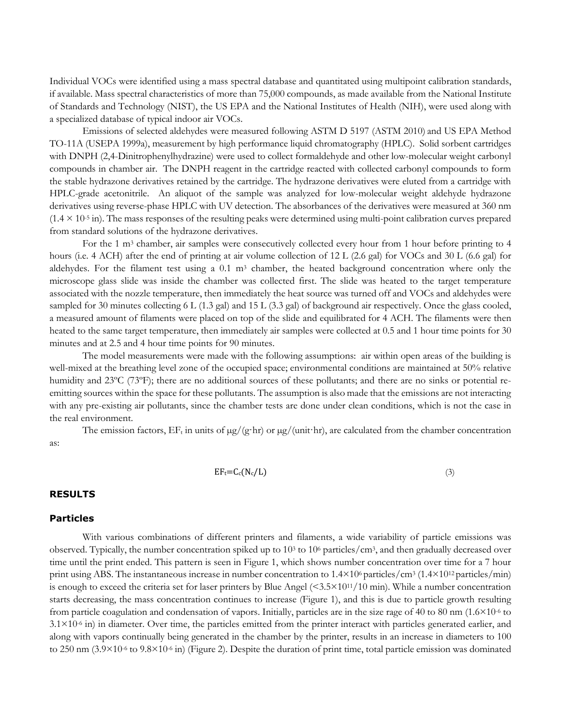Individual VOCs were identified using a mass spectral database and quantitated using multipoint calibration standards, if available. Mass spectral characteristics of more than 75,000 compounds, as made available from the National Institute of Standards and Technology (NIST), the US EPA and the National Institutes of Health (NIH), were used along with a specialized database of typical indoor air VOCs.

Emissions of selected aldehydes were measured following ASTM D 5197 (ASTM 2010) and US EPA Method TO-11A (USEPA 1999a), measurement by high performance liquid chromatography (HPLC). Solid sorbent cartridges with DNPH (2,4-Dinitrophenylhydrazine) were used to collect formaldehyde and other low-molecular weight carbonyl compounds in chamber air. The DNPH reagent in the cartridge reacted with collected carbonyl compounds to form the stable hydrazone derivatives retained by the cartridge. The hydrazone derivatives were eluted from a cartridge with HPLC-grade acetonitrile. An aliquot of the sample was analyzed for low-molecular weight aldehyde hydrazone derivatives using reverse-phase HPLC with UV detection. The absorbances of the derivatives were measured at 360 nm  $(1.4 \times 10^{-5} \text{ in})$ . The mass responses of the resulting peaks were determined using multi-point calibration curves prepared from standard solutions of the hydrazone derivatives.

For the 1 m<sup>3</sup> chamber, air samples were consecutively collected every hour from 1 hour before printing to 4 hours (i.e. 4 ACH) after the end of printing at air volume collection of 12 L (2.6 gal) for VOCs and 30 L (6.6 gal) for aldehydes. For the filament test using a  $0.1 \text{ m}^3$  chamber, the heated background concentration where only the microscope glass slide was inside the chamber was collected first. The slide was heated to the target temperature associated with the nozzle temperature, then immediately the heat source was turned off and VOCs and aldehydes were sampled for 30 minutes collecting 6 L (1.3 gal) and 15 L (3.3 gal) of background air respectively. Once the glass cooled, a measured amount of filaments were placed on top of the slide and equilibrated for 4 ACH. The filaments were then heated to the same target temperature, then immediately air samples were collected at 0.5 and 1 hour time points for 30 minutes and at 2.5 and 4 hour time points for 90 minutes.

The model measurements were made with the following assumptions: air within open areas of the building is well-mixed at the breathing level zone of the occupied space; environmental conditions are maintained at 50% relative humidity and 23<sup>o</sup>C (73<sup>o</sup>F); there are no additional sources of these pollutants; and there are no sinks or potential reemitting sources within the space for these pollutants. The assumption is also made that the emissions are not interacting with any pre-existing air pollutants, since the chamber tests are done under clean conditions, which is not the case in the real environment.

The emission factors,  $EF_t$  in units of  $\mu g/(gr)$  or  $\mu g/(unit)$ ; are calculated from the chamber concentration as:

$$
EF_t = C_c(N_c/L) \tag{3}
$$

# **RESULTS**

# **Particles**

With various combinations of different printers and filaments, a wide variability of particle emissions was observed. Typically, the number concentration spiked up to  $10<sup>3</sup>$  to  $10<sup>6</sup>$  particles/cm<sup>3</sup>, and then gradually decreased over time until the print ended. This pattern is seen in Figure 1, which shows number concentration over time for a 7 hour print using ABS. The instantaneous increase in number concentration to  $1.4\times10^6$  particles/cm<sup>3</sup> ( $1.4\times10^{12}$  particles/min) is enough to exceed the criteria set for laser printers by Blue Angel  $(5.5 \times 10^{11}/10 \text{ min})$ . While a number concentration starts decreasing, the mass concentration continues to increase (Figure 1), and this is due to particle growth resulting from particle coagulation and condensation of vapors. Initially, particles are in the size rage of 40 to 80 nm (1.6×10-6 to 3.1×10-6 in) in diameter. Over time, the particles emitted from the printer interact with particles generated earlier, and along with vapors continually being generated in the chamber by the printer, results in an increase in diameters to 100 to 250 nm  $(3.9\times10^{-6}$  to  $9.8\times10^{-6}$  in) (Figure 2). Despite the duration of print time, total particle emission was dominated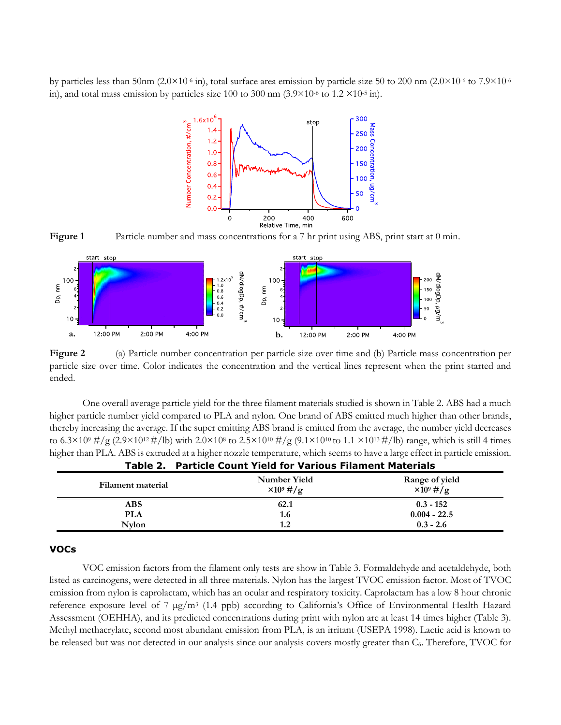by particles less than 50nm (2.0×10<sup>-6</sup> in), total surface area emission by particle size 50 to 200 nm (2.0×10<sup>-6</sup> to 7.9×10<sup>-6</sup>) in), and total mass emission by particles size 100 to 300 nm  $(3.9 \times 10^{-6}$  to 1.2  $\times 10^{-5}$  in).



Figure 1 Particle number and mass concentrations for a 7 hr print using ABS, print start at 0 min.



**Figure 2** (a) Particle number concentration per particle size over time and (b) Particle mass concentration per particle size over time. Color indicates the concentration and the vertical lines represent when the print started and ended.

One overall average particle yield for the three filament materials studied is shown in Table 2. ABS had a much higher particle number yield compared to PLA and nylon. One brand of ABS emitted much higher than other brands, thereby increasing the average. If the super emitting ABS brand is emitted from the average, the number yield decreases to 6.3×109 #/g (2.9×10<sup>12</sup> #/lb) with 2.0×108 to 2.5×10<sup>10</sup> #/g (9.1×10<sup>10</sup> to 1.1 ×10<sup>13</sup> #/lb) range, which is still 4 times higher than PLA. ABS is extruded at a higher nozzle temperature, which seems to have a large effect in particle emission. **Table 2. Particle Count Yield for Various Filament Materials**

| .                 |                                   |                                       |
|-------------------|-----------------------------------|---------------------------------------|
| Filament material | Number Yield<br>$\times 10^9$ #/g | Range of yield<br>$\times 10^{9}$ #/g |
| ABS               | 62.1                              | $0.3 - 152$                           |
| PLA               | 1.6                               | $0.004 - 22.5$                        |
| <b>Nylon</b>      | 1.2                               | $0.3 - 2.6$                           |

# **VOCs**

VOC emission factors from the filament only tests are show in Table 3. Formaldehyde and acetaldehyde, both listed as carcinogens, were detected in all three materials. Nylon has the largest TVOC emission factor. Most of TVOC emission from nylon is caprolactam, which has an ocular and respiratory toxicity. Caprolactam has a low 8 hour chronic reference exposure level of 7 µg/m<sup>3</sup> (1.4 ppb) according to California's Office of Environmental Health Hazard Assessment (OEHHA), and its predicted concentrations during print with nylon are at least 14 times higher (Table 3). Methyl methacrylate, second most abundant emission from PLA, is an irritant (USEPA 1998). Lactic acid is known to be released but was not detected in our analysis since our analysis covers mostly greater than C<sub>6</sub>. Therefore, TVOC for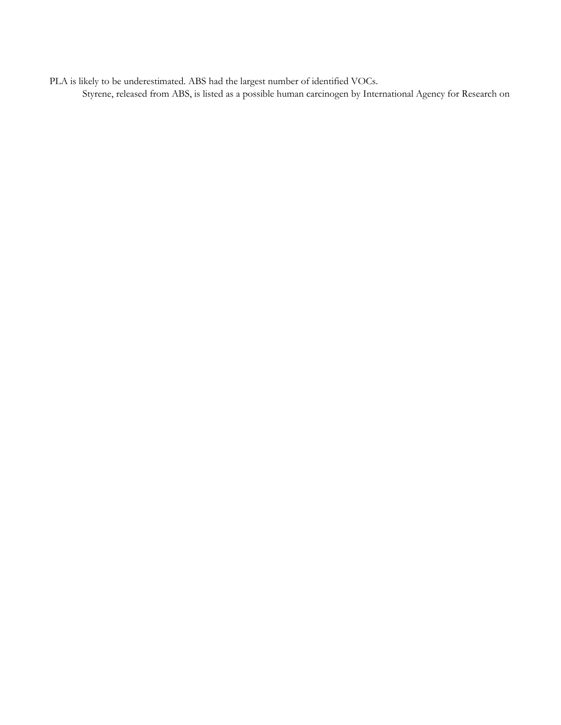PLA is likely to be underestimated. ABS had the largest number of identified VOCs. Styrene, released from ABS, is listed as a possible human carcinogen by International Agency for Research on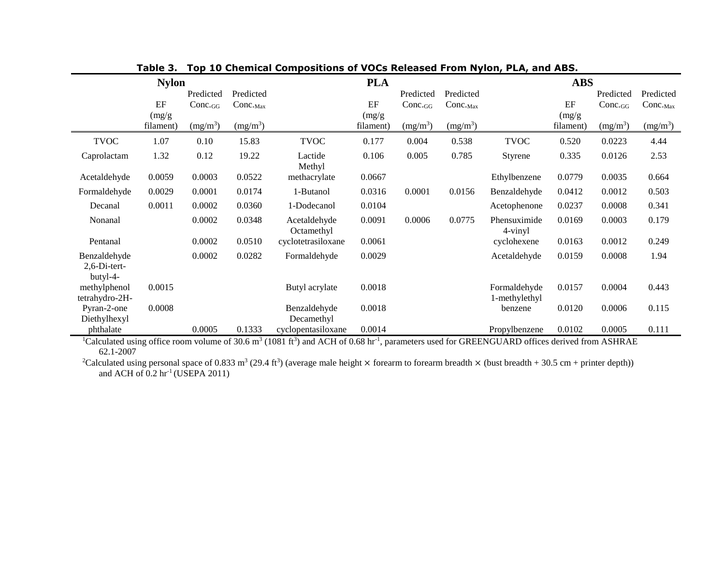| <b>Nylon</b>                             |                     |                                 |                            | <b>PLA</b>                 |                     |                                 | <b>ABS</b>                        |                               |                     |                                 |                                     |
|------------------------------------------|---------------------|---------------------------------|----------------------------|----------------------------|---------------------|---------------------------------|-----------------------------------|-------------------------------|---------------------|---------------------------------|-------------------------------------|
|                                          | EF                  | Predicted<br>$Conc_{\text{GG}}$ | Predicted<br>$Conc._{Max}$ |                            | EF                  | Predicted<br>$Conc_{\text{GG}}$ | Predicted<br>$Conc._{\text{Max}}$ |                               | EF                  | Predicted<br>$Conc_{\text{GG}}$ | Predicted<br>$Conc.$ <sub>Max</sub> |
|                                          | (mg/g)<br>filament) | (mg/m <sup>3</sup> )            | $(mg/m^3)$                 |                            | (mg/g)<br>filament) | $(mg/m^3)$                      | $(mg/m^3)$                        |                               | (mg/g)<br>filament) | $(mg/m^3)$                      | $(mg/m^3)$                          |
| <b>TVOC</b>                              | 1.07                | 0.10                            | 15.83                      | <b>TVOC</b>                | 0.177               | 0.004                           | 0.538                             | <b>TVOC</b>                   | 0.520               | 0.0223                          | 4.44                                |
| Caprolactam                              | 1.32                | 0.12                            | 19.22                      | Lactide<br>Methyl          | 0.106               | 0.005                           | 0.785                             | Styrene                       | 0.335               | 0.0126                          | 2.53                                |
| Acetaldehyde                             | 0.0059              | 0.0003                          | 0.0522                     | methacrylate               | 0.0667              |                                 |                                   | Ethylbenzene                  | 0.0779              | 0.0035                          | 0.664                               |
| Formaldehyde                             | 0.0029              | 0.0001                          | 0.0174                     | 1-Butanol                  | 0.0316              | 0.0001                          | 0.0156                            | Benzaldehyde                  | 0.0412              | 0.0012                          | 0.503                               |
| Decanal                                  | 0.0011              | 0.0002                          | 0.0360                     | 1-Dodecanol                | 0.0104              |                                 |                                   | Acetophenone                  | 0.0237              | 0.0008                          | 0.341                               |
| Nonanal                                  |                     | 0.0002                          | 0.0348                     | Acetaldehyde<br>Octamethyl | 0.0091              | 0.0006                          | 0.0775                            | Phensuximide<br>4-vinyl       | 0.0169              | 0.0003                          | 0.179                               |
| Pentanal                                 |                     | 0.0002                          | 0.0510                     | cyclotetrasiloxane         | 0.0061              |                                 |                                   | cyclohexene                   | 0.0163              | 0.0012                          | 0.249                               |
| Benzaldehyde<br>2,6-Di-tert-<br>butyl-4- |                     | 0.0002                          | 0.0282                     | Formaldehyde               | 0.0029              |                                 |                                   | Acetaldehyde                  | 0.0159              | 0.0008                          | 1.94                                |
| methylphenol<br>tetrahydro-2H-           | 0.0015              |                                 |                            | Butyl acrylate             | 0.0018              |                                 |                                   | Formaldehyde<br>1-methylethyl | 0.0157              | 0.0004                          | 0.443                               |
| Pyran-2-one<br>Diethylhexyl              | 0.0008              |                                 |                            | Benzaldehyde<br>Decamethyl | 0.0018              |                                 |                                   | benzene                       | 0.0120              | 0.0006                          | 0.115                               |
| phthalate                                |                     | 0.0005                          | 0.1333                     | cyclopentasiloxane         | 0.0014              |                                 |                                   | Propylbenzene                 | 0.0102              | 0.0005                          | 0.111                               |

**Table 3. Top 10 Chemical Compositions of VOCs Released From Nylon, PLA, and ABS.**

<sup>1</sup>Calculated using office room volume of 30.6 m<sup>3</sup> (1081 ft<sup>3</sup>) and ACH of 0.68 hr<sup>-1</sup>, parameters used for GREENGUARD offices derived from ASHRAE 62.1-2007

<sup>2</sup>Calculated using personal space of 0.833 m<sup>3</sup> (29.4 ft<sup>3</sup>) (average male height  $\times$  forearm to forearm breadth  $\times$  (bust breadth + 30.5 cm + printer depth)) and ACH of  $0.2$  hr<sup>-1</sup> (USEPA 2011)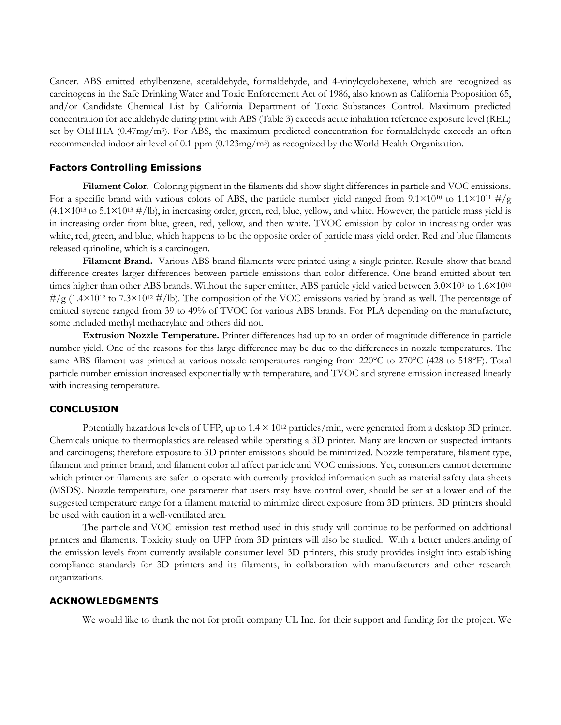Cancer. ABS emitted ethylbenzene, acetaldehyde, formaldehyde, and 4-vinylcyclohexene, which are recognized as carcinogens in the Safe Drinking Water and Toxic Enforcement Act of 1986, also known as California Proposition 65, and/or Candidate Chemical List by California Department of Toxic Substances Control. Maximum predicted concentration for acetaldehyde during print with ABS (Table 3) exceeds acute inhalation reference exposure level (REL) set by OEHHA (0.47mg/m<sup>3</sup>). For ABS, the maximum predicted concentration for formaldehyde exceeds an often recommended indoor air level of 0.1 ppm (0.123mg/m3) as recognized by the World Health Organization.

### **Factors Controlling Emissions**

**Filament Color.** Coloring pigment in the filaments did show slight differences in particle and VOC emissions. For a specific brand with various colors of ABS, the particle number yield ranged from  $9.1 \times 10^{10}$  to  $1.1 \times 10^{11}$  #/g  $(4.1\times10^{13}$  to  $5.1\times10^{13}$  #/lb), in increasing order, green, red, blue, yellow, and white. However, the particle mass yield is in increasing order from blue, green, red, yellow, and then white. TVOC emission by color in increasing order was white, red, green, and blue, which happens to be the opposite order of particle mass yield order. Red and blue filaments released quinoline, which is a carcinogen.

Filament Brand. Various ABS brand filaments were printed using a single printer. Results show that brand difference creates larger differences between particle emissions than color difference. One brand emitted about ten times higher than other ABS brands. Without the super emitter, ABS particle yield varied between  $3.0\times10^9$  to  $1.6\times10^{10}$  $\frac{\mu}{g}$  (1.4×10<sup>12</sup> to 7.3×10<sup>12</sup> #/lb). The composition of the VOC emissions varied by brand as well. The percentage of emitted styrene ranged from 39 to 49% of TVOC for various ABS brands. For PLA depending on the manufacture, some included methyl methacrylate and others did not.

**Extrusion Nozzle Temperature.** Printer differences had up to an order of magnitude difference in particle number yield. One of the reasons for this large difference may be due to the differences in nozzle temperatures. The same ABS filament was printed at various nozzle temperatures ranging from 220°C to 270°C (428 to 518°F). Total particle number emission increased exponentially with temperature, and TVOC and styrene emission increased linearly with increasing temperature.

### **CONCLUSION**

Potentially hazardous levels of UFP, up to  $1.4 \times 10^{12}$  particles/min, were generated from a desktop 3D printer. Chemicals unique to thermoplastics are released while operating a 3D printer. Many are known or suspected irritants and carcinogens; therefore exposure to 3D printer emissions should be minimized. Nozzle temperature, filament type, filament and printer brand, and filament color all affect particle and VOC emissions. Yet, consumers cannot determine which printer or filaments are safer to operate with currently provided information such as material safety data sheets (MSDS). Nozzle temperature, one parameter that users may have control over, should be set at a lower end of the suggested temperature range for a filament material to minimize direct exposure from 3D printers. 3D printers should be used with caution in a well-ventilated area.

The particle and VOC emission test method used in this study will continue to be performed on additional printers and filaments. Toxicity study on UFP from 3D printers will also be studied. With a better understanding of the emission levels from currently available consumer level 3D printers, this study provides insight into establishing compliance standards for 3D printers and its filaments, in collaboration with manufacturers and other research organizations.

### **ACKNOWLEDGMENTS**

We would like to thank the not for profit company UL Inc. for their support and funding for the project. We